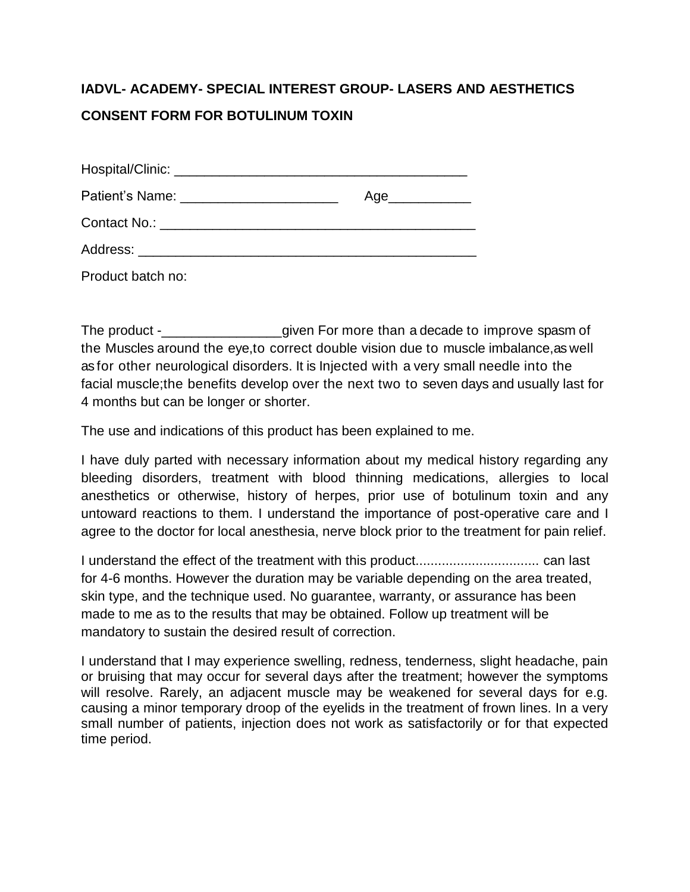## **IADVL- ACADEMY- SPECIAL INTEREST GROUP- LASERS AND AESTHETICS CONSENT FORM FOR BOTULINUM TOXIN**

|                                           | Age_____________ |
|-------------------------------------------|------------------|
|                                           |                  |
| Address: ________________________________ |                  |
| Product batch no:                         |                  |

The product -\_\_\_\_\_\_\_\_\_\_\_\_\_\_\_\_given For more than a decade to improve spasm of the Muscles around the eye,to correct double vision due to muscle imbalance,as well as for other neurological disorders. It is Injected with a very small needle into the facial muscle;the benefits develop over the next two to seven days and usually last for 4 months but can be longer or shorter.

The use and indications of this product has been explained to me.

I have duly parted with necessary information about my medical history regarding any bleeding disorders, treatment with blood thinning medications, allergies to local anesthetics or otherwise, history of herpes, prior use of botulinum toxin and any untoward reactions to them. I understand the importance of post-operative care and I agree to the doctor for local anesthesia, nerve block prior to the treatment for pain relief.

I understand the effect of the treatment with this product................................. can last for 4-6 months. However the duration may be variable depending on the area treated, skin type, and the technique used. No guarantee, warranty, or assurance has been made to me as to the results that may be obtained. Follow up treatment will be mandatory to sustain the desired result of correction.

I understand that I may experience swelling, redness, tenderness, slight headache, pain or bruising that may occur for several days after the treatment; however the symptoms will resolve. Rarely, an adjacent muscle may be weakened for several days for e.g. causing a minor temporary droop of the eyelids in the treatment of frown lines. In a very small number of patients, injection does not work as satisfactorily or for that expected time period.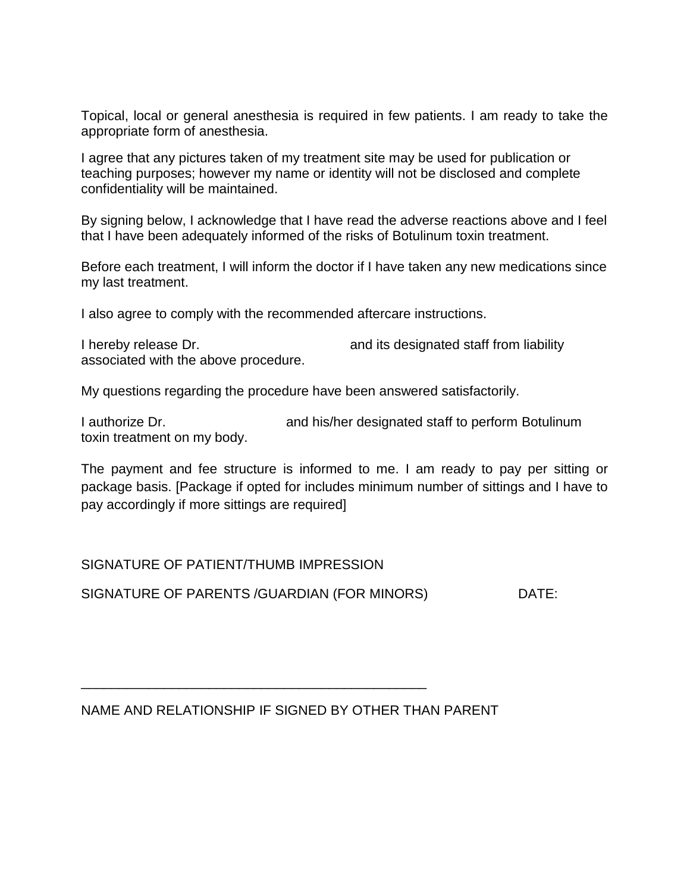Topical, local or general anesthesia is required in few patients. I am ready to take the appropriate form of anesthesia.

I agree that any pictures taken of my treatment site may be used for publication or teaching purposes; however my name or identity will not be disclosed and complete confidentiality will be maintained.

By signing below, I acknowledge that I have read the adverse reactions above and I feel that I have been adequately informed of the risks of Botulinum toxin treatment.

Before each treatment, I will inform the doctor if I have taken any new medications since my last treatment.

I also agree to comply with the recommended aftercare instructions.

I hereby release Dr. **and its designated staff from liability** associated with the above procedure.

My questions regarding the procedure have been answered satisfactorily.

I authorize Dr. **and his/her designated staff to perform Botulinum** toxin treatment on my body.

The payment and fee structure is informed to me. I am ready to pay per sitting or package basis. [Package if opted for includes minimum number of sittings and I have to pay accordingly if more sittings are required]

SIGNATURE OF PATIENT/THUMB IMPRESSION

SIGNATURE OF PARENTS / GUARDIAN (FOR MINORS) DATE:

NAME AND RELATIONSHIP IF SIGNED BY OTHER THAN PARENT

\_\_\_\_\_\_\_\_\_\_\_\_\_\_\_\_\_\_\_\_\_\_\_\_\_\_\_\_\_\_\_\_\_\_\_\_\_\_\_\_\_\_\_\_\_\_